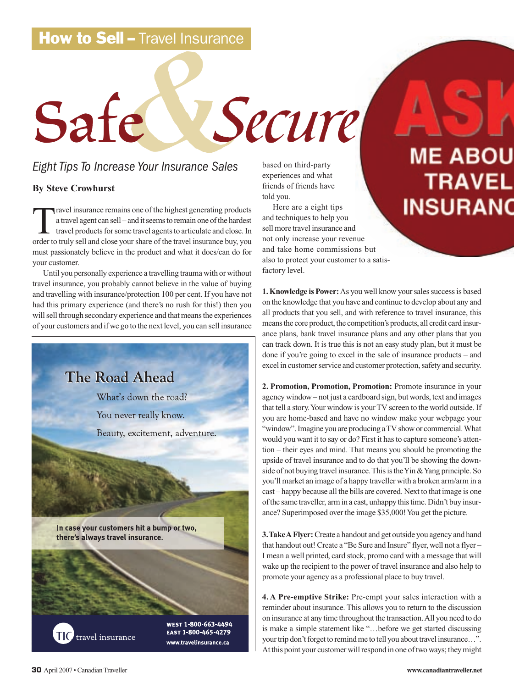# **How to Sell - Travel Insurance**

# | – Travel Insurance<br>|-<br>|-<br>|-<br>|-Safe Secure

## *Eight Tips To Increase Your Insurance Sales*

### **By Steve Crowhurst**

Travel insurance remains one of the highest generating products<br>a travel agent can sell – and it seems to remain one of the hardest<br>travel products for some travel agents to articulate and close. In<br>order to truly sell and a travel agent can sell – and it seems to remain one of the hardest travel products for some travel agents to articulate and close. In order to truly sell and close your share of the travel insurance buy, you must passionately believe in the product and what it does/can do for your customer.

Until you personally experience a travelling trauma with or without travel insurance, you probably cannot believe in the value of buying and travelling with insurance/protection 100 per cent. If you have not had this primary experience (and there's no rush for this!) then you will sell through secondary experience and that means the experiences of your customers and if we go to the next level, you can sell insurance



based on third-party experiences and what friends of friends have told you.

Here are a eight tips and techniques to help you sell more travel insurance and not only increase your revenue and take home commissions but also to protect your customer to a satisfactory level.

**1. Knowledge is Power:**As you well know your sales success is based on the knowledge that you have and continue to develop about any and all products that you sell, and with reference to travel insurance, this means the core product, the competition's products, all credit card insurance plans, bank travel insurance plans and any other plans that you can track down. It is true this is not an easy study plan, but it must be done if you're going to excel in the sale of insurance products – and excel in customer service and customer protection, safety and security.

**2. Promotion, Promotion, Promotion:** Promote insurance in your agency window – not just a cardboard sign, but words, text and images that tell a story. Your window is your TV screen to the world outside. If you are home-based and have no window make your webpage your "window". Imagine you are producing a TV show or commercial. What would you want it to say or do? First it has to capture someone's attention – their eyes and mind. That means you should be promoting the upside of travel insurance and to do that you'll be showing the downside of not buying travel insurance. This is the Yin & Yang principle. So you'll market an image of a happy traveller with a broken arm/arm in a cast – happy because all the bills are covered. Next to that image is one of the same traveller, arm in a cast, unhappy this time. Didn't buy insurance? Superimposed over the image \$35,000! You get the picture.

**3.Take A Flyer:**Create a handout and get outside you agency and hand that handout out! Create a "Be Sure and Insure" flyer, well not a flyer – I mean a well printed, card stock, promo card with a message that will wake up the recipient to the power of travel insurance and also help to promote your agency as a professional place to buy travel.

**4. A Pre-emptive Strike:** Pre-empt your sales interaction with a reminder about insurance. This allows you to return to the discussion on insurance at any time throughout the transaction. All you need to do is make a simple statement like "…before we get started discussing your trip don't forget to remind me to tell you about travel insurance…". At this point your customer will respond in one of two ways; they might

#### **30** April 2007 • Canadian Traveller **www.canadiantraveller.net**

**ME ABOU** 

**INSURANO** 

**TRAVEL**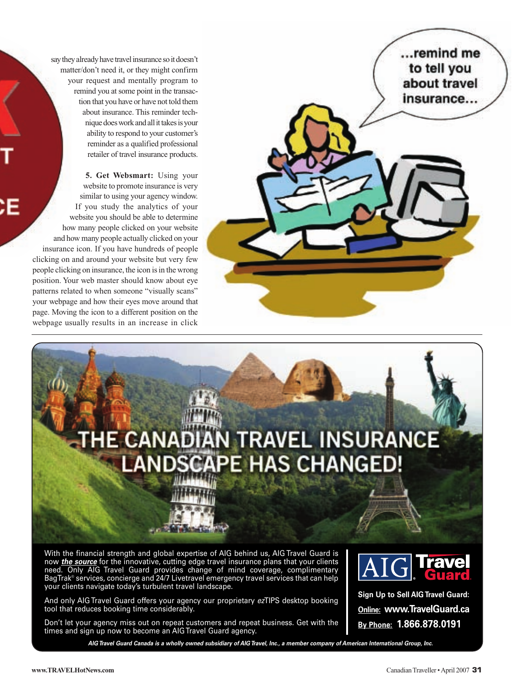say they already have travel insurance so it doesn't matter/don't need it, or they might confirm your request and mentally program to remind you at some point in the transaction that you have or have not told them about insurance. This reminder technique does work and all it takes is your ability to respond to your customer's reminder as a qualified professional retailer of travel insurance products.

**5. Get Websmart:** Using your website to promote insurance is very similar to using your agency window. If you study the analytics of your website you should be able to determine how many people clicked on your website and how many people actually clicked on your insurance icon. If you have hundreds of people clicking on and around your website but very few people clicking on insurance, the icon is in the wrong position. Your web master should know about eye patterns related to when someone "visually scans" your webpage and how their eyes move around that page. Moving the icon to a different position on the webpage usually results in an increase in click





[With the financial strength and global expertise of AIG behind us, AIG Travel Guard is](www.TravelGuard.ca) now *the source* for the innovative, cutting edge travel insurance plans that your clients need. Only AIG Travel Guard provides change of mind coverage, complimentary BagTrak® services, concierge and 24/7 Livetravel emergency travel services that can help your clients navigate today's turbulent travel landscape.

And only AIG Travel Guard offers your agency our proprietary *ez*TIPS desktop booking tool that reduces booking time considerably.

Don't let your agency miss out on repeat customers and repeat business. Get with the times and sign up now to become an AIG Travel Guard agency.

*AIG Travel Guard Canada is a wholly owned subsidiary of AIG Travel, Inc., a member company of American International Group, Inc.*



**Sign Up to Sell AIG Travel Guard: Online: www.TravelGuard.ca By Phone: 1.866.878.0191**